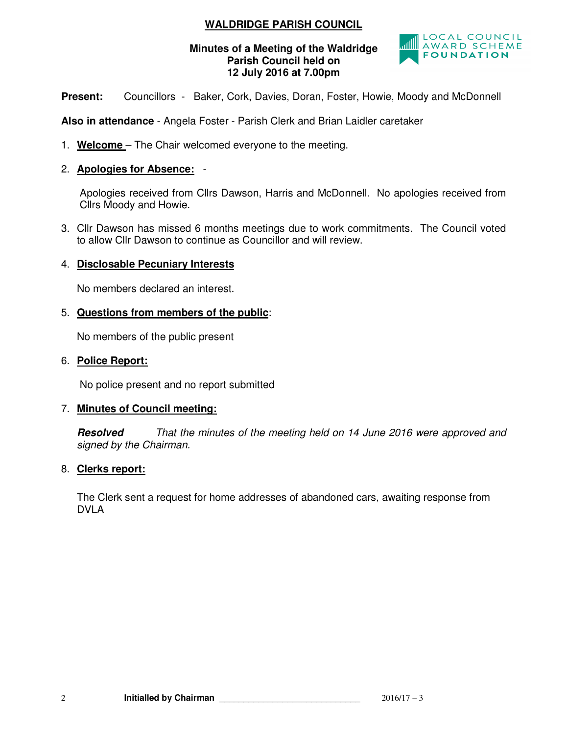# **WALDRIDGE PARISH COUNCIL**

## **Minutes of a Meeting of the Waldridge Parish Council held on 12 July 2016 at 7.00pm**



**Present:** Councillors - Baker, Cork, Davies, Doran, Foster, Howie, Moody and McDonnell

**Also in attendance** - Angela Foster - Parish Clerk and Brian Laidler caretaker

- 1. **Welcome**  The Chair welcomed everyone to the meeting.
- 2. **Apologies for Absence:** -

 Apologies received from Cllrs Dawson, Harris and McDonnell. No apologies received from Cllrs Moody and Howie.

3. Cllr Dawson has missed 6 months meetings due to work commitments. The Council voted to allow Cllr Dawson to continue as Councillor and will review.

## 4. **Disclosable Pecuniary Interests**

No members declared an interest.

## 5. **Questions from members of the public**:

No members of the public present

#### 6. **Police Report:**

No police present and no report submitted

## 7. **Minutes of Council meeting:**

**Resolved** That the minutes of the meeting held on 14 June 2016 were approved and signed by the Chairman.

## 8. **Clerks report:**

The Clerk sent a request for home addresses of abandoned cars, awaiting response from DVLA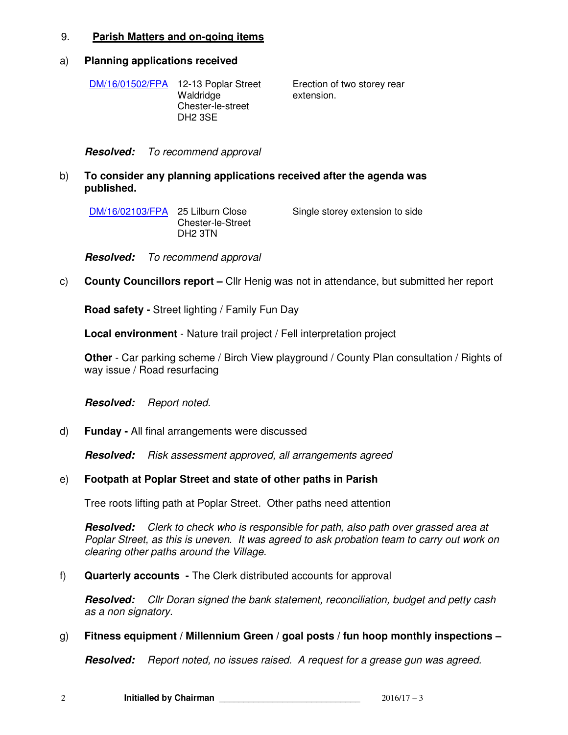#### 9. **Parish Matters and on-going items**

#### a) **Planning applications received**

DM/16/01502/FPA 12-13 Poplar Street Waldridge Chester-le-street DH2 3SE

Erection of two storey rear extension.

**Resolved:** To recommend approval

## b) **To consider any planning applications received after the agenda was published.**

DM/16/02103/FPA 25 Lilburn Close Chester-le-Street DH2 3TN

Single storey extension to side

**Resolved:** To recommend approval

## c) **County Councillors report –** Cllr Henig was not in attendance, but submitted her report

**Road safety -** Street lighting / Family Fun Day

**Local environment** - Nature trail project / Fell interpretation project

**Other** - Car parking scheme / Birch View playground / County Plan consultation / Rights of way issue / Road resurfacing

**Resolved:** Report noted.

d) **Funday -** All final arrangements were discussed

**Resolved:** Risk assessment approved, all arrangements agreed

## e) **Footpath at Poplar Street and state of other paths in Parish**

Tree roots lifting path at Poplar Street. Other paths need attention

**Resolved:** Clerk to check who is responsible for path, also path over grassed area at Poplar Street, as this is uneven. It was agreed to ask probation team to carry out work on clearing other paths around the Village.

#### f) **Quarterly accounts -** The Clerk distributed accounts for approval

**Resolved:** Cllr Doran signed the bank statement, reconciliation, budget and petty cash as a non signatory.

## g) **Fitness equipment / Millennium Green / goal posts / fun hoop monthly inspections –**

**Resolved:** Report noted, no issues raised. A request for a grease gun was agreed.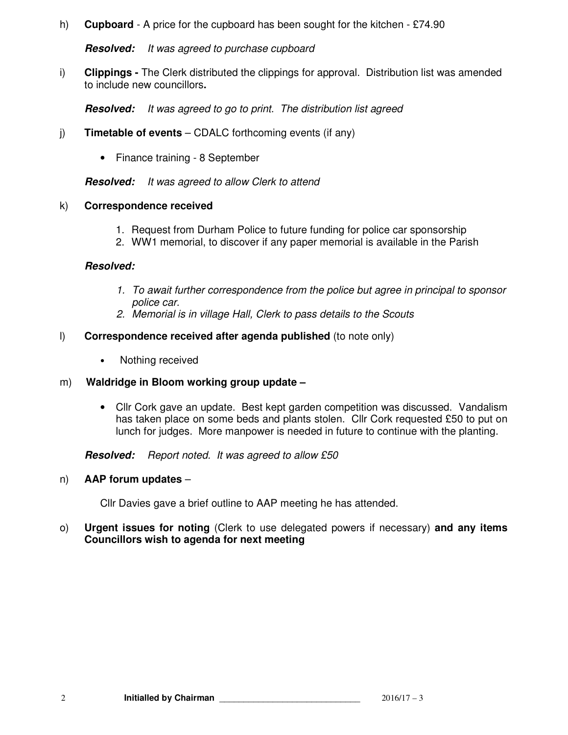h) **Cupboard** - A price for the cupboard has been sought for the kitchen - £74.90

**Resolved:** It was agreed to purchase cupboard

i) **Clippings -** The Clerk distributed the clippings for approval. Distribution list was amended to include new councillors**.** 

**Resolved:** It was agreed to go to print. The distribution list agreed

- j) **Timetable of events** CDALC forthcoming events (if any)
	- Finance training 8 September

**Resolved:** It was agreed to allow Clerk to attend

#### k) **Correspondence received**

- 1. Request from Durham Police to future funding for police car sponsorship
- 2. WW1 memorial, to discover if any paper memorial is available in the Parish

#### **Resolved:**

- 1. To await further correspondence from the police but agree in principal to sponsor police car.
- 2. Memorial is in village Hall, Clerk to pass details to the Scouts
- l) **Correspondence received after agenda published** (to note only)
	- Nothing received

## m) **Waldridge in Bloom working group update –**

• Cllr Cork gave an update. Best kept garden competition was discussed. Vandalism has taken place on some beds and plants stolen. Cllr Cork requested £50 to put on lunch for judges. More manpower is needed in future to continue with the planting.

**Resolved:** Report noted. It was agreed to allow £50

#### n) **AAP forum updates** –

Cllr Davies gave a brief outline to AAP meeting he has attended.

o) **Urgent issues for noting** (Clerk to use delegated powers if necessary) **and any items Councillors wish to agenda for next meeting**